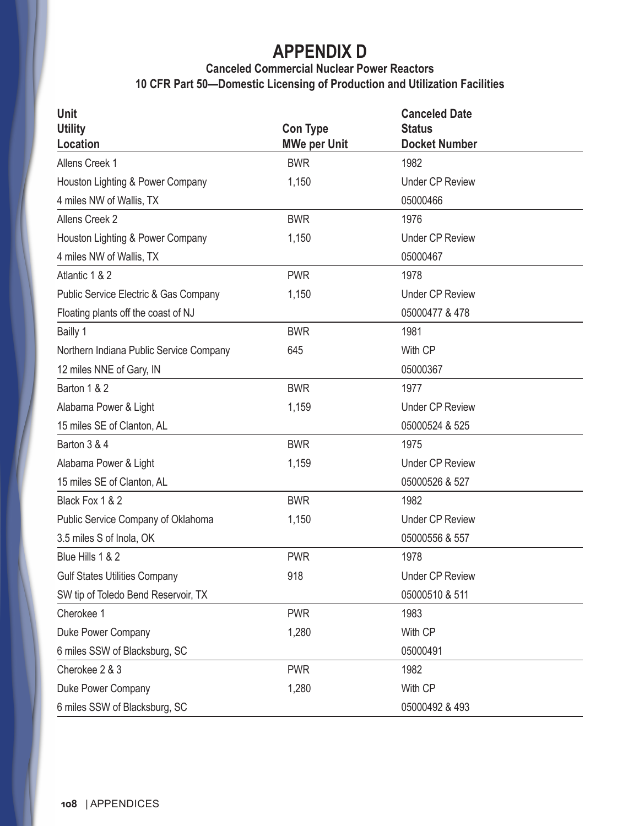#### **Canceled Commercial Nuclear Power Reactors 10 CFR Part 50—Domestic Licensing of Production and Utilization Facilities**

| <b>Unit</b><br><b>Utility</b><br><b>Location</b> | <b>Con Type</b><br><b>MWe per Unit</b> | <b>Canceled Date</b><br><b>Status</b><br><b>Docket Number</b> |
|--------------------------------------------------|----------------------------------------|---------------------------------------------------------------|
| Allens Creek 1                                   | <b>BWR</b>                             | 1982                                                          |
| Houston Lighting & Power Company                 | 1,150                                  | <b>Under CP Review</b>                                        |
| 4 miles NW of Wallis, TX                         |                                        | 05000466                                                      |
| Allens Creek 2                                   | <b>BWR</b>                             | 1976                                                          |
| Houston Lighting & Power Company                 | 1,150                                  | <b>Under CP Review</b>                                        |
| 4 miles NW of Wallis, TX                         |                                        | 05000467                                                      |
| Atlantic 1 & 2                                   | <b>PWR</b>                             | 1978                                                          |
| Public Service Electric & Gas Company            | 1,150                                  | <b>Under CP Review</b>                                        |
| Floating plants off the coast of NJ              |                                        | 05000477 & 478                                                |
| Bailly 1                                         | <b>BWR</b>                             | 1981                                                          |
| Northern Indiana Public Service Company          | 645                                    | With CP                                                       |
| 12 miles NNE of Gary, IN                         |                                        | 05000367                                                      |
| Barton 1 & 2                                     | <b>BWR</b>                             | 1977                                                          |
| Alabama Power & Light                            | 1,159                                  | <b>Under CP Review</b>                                        |
| 15 miles SE of Clanton, AL                       |                                        | 05000524 & 525                                                |
| Barton 3 & 4                                     | <b>BWR</b>                             | 1975                                                          |
| Alabama Power & Light                            | 1,159                                  | <b>Under CP Review</b>                                        |
| 15 miles SE of Clanton, AL                       |                                        | 05000526 & 527                                                |
| Black Fox 1 & 2                                  | <b>BWR</b>                             | 1982                                                          |
| Public Service Company of Oklahoma               | 1,150                                  | <b>Under CP Review</b>                                        |
| 3.5 miles S of Inola, OK                         |                                        | 05000556 & 557                                                |
| Blue Hills 1 & 2                                 | <b>PWR</b>                             | 1978                                                          |
| <b>Gulf States Utilities Company</b>             | 918                                    | <b>Under CP Review</b>                                        |
| SW tip of Toledo Bend Reservoir, TX              |                                        | 05000510 & 511                                                |
| Cherokee 1                                       | <b>PWR</b>                             | 1983                                                          |
| Duke Power Company                               | 1,280                                  | With CP                                                       |
| 6 miles SSW of Blacksburg, SC                    |                                        | 05000491                                                      |
| Cherokee 2 & 3                                   | <b>PWR</b>                             | 1982                                                          |
| Duke Power Company                               | 1,280                                  | With CP                                                       |
| 6 miles SSW of Blacksburg, SC                    |                                        | 05000492 & 493                                                |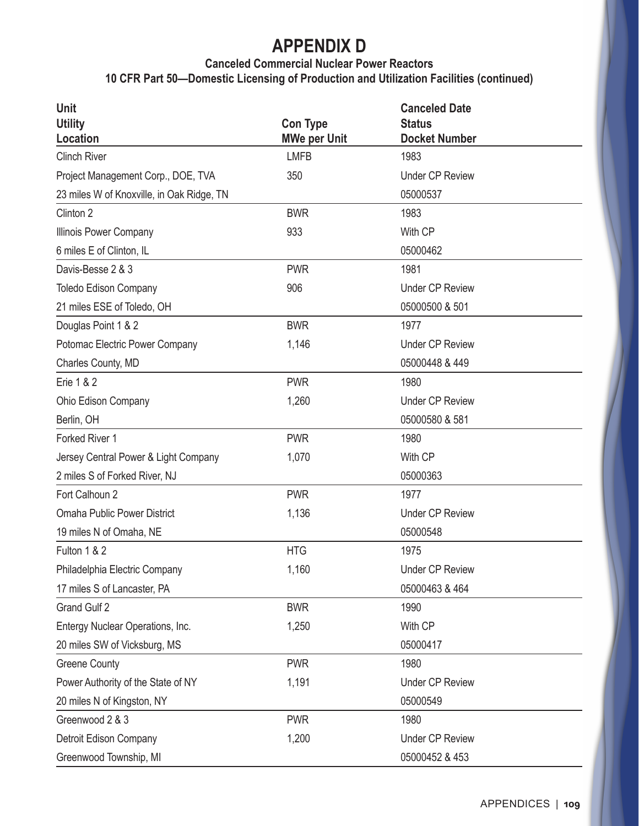#### **Canceled Commercial Nuclear Power Reactors**

**10 CFR Part 50—Domestic Licensing of Production and Utilization Facilities (continued)**

| Unit                                      |                     | <b>Canceled Date</b>   |
|-------------------------------------------|---------------------|------------------------|
| <b>Utility</b>                            | <b>Con Type</b>     | <b>Status</b>          |
| <b>Location</b>                           | <b>MWe per Unit</b> | <b>Docket Number</b>   |
| <b>Clinch River</b>                       | <b>LMFB</b>         | 1983                   |
| Project Management Corp., DOE, TVA        | 350                 | <b>Under CP Review</b> |
| 23 miles W of Knoxville, in Oak Ridge, TN |                     | 05000537               |
| Clinton <sub>2</sub>                      | <b>BWR</b>          | 1983                   |
| Illinois Power Company                    | 933                 | With CP                |
| 6 miles E of Clinton, IL                  |                     | 05000462               |
| Davis-Besse 2 & 3                         | <b>PWR</b>          | 1981                   |
| <b>Toledo Edison Company</b>              | 906                 | <b>Under CP Review</b> |
| 21 miles ESE of Toledo, OH                |                     | 05000500 & 501         |
| Douglas Point 1 & 2                       | <b>BWR</b>          | 1977                   |
| Potomac Electric Power Company            | 1,146               | <b>Under CP Review</b> |
| Charles County, MD                        |                     | 05000448 & 449         |
| <b>Erie 1 &amp; 2</b>                     | <b>PWR</b>          | 1980                   |
| Ohio Edison Company                       | 1,260               | <b>Under CP Review</b> |
| Berlin, OH                                |                     | 05000580 & 581         |
| Forked River 1                            | <b>PWR</b>          | 1980                   |
| Jersey Central Power & Light Company      | 1,070               | With CP                |
| 2 miles S of Forked River, NJ             |                     | 05000363               |
| Fort Calhoun 2                            | <b>PWR</b>          | 1977                   |
| <b>Omaha Public Power District</b>        | 1,136               | <b>Under CP Review</b> |
| 19 miles N of Omaha, NE                   |                     | 05000548               |
| Fulton 1 & 2                              | <b>HTG</b>          | 1975                   |
| Philadelphia Electric Company             | 1,160               | <b>Under CP Review</b> |
| 17 miles S of Lancaster, PA               |                     | 05000463 & 464         |
| Grand Gulf 2                              | <b>BWR</b>          | 1990                   |
| Entergy Nuclear Operations, Inc.          | 1,250               | With CP                |
| 20 miles SW of Vicksburg, MS              |                     | 05000417               |
| <b>Greene County</b>                      | <b>PWR</b>          | 1980                   |
| Power Authority of the State of NY        | 1,191               | <b>Under CP Review</b> |
| 20 miles N of Kingston, NY                |                     | 05000549               |
| Greenwood 2 & 3                           | <b>PWR</b>          | 1980                   |
| Detroit Edison Company                    | 1,200               | <b>Under CP Review</b> |
| Greenwood Township, MI                    |                     | 05000452 & 453         |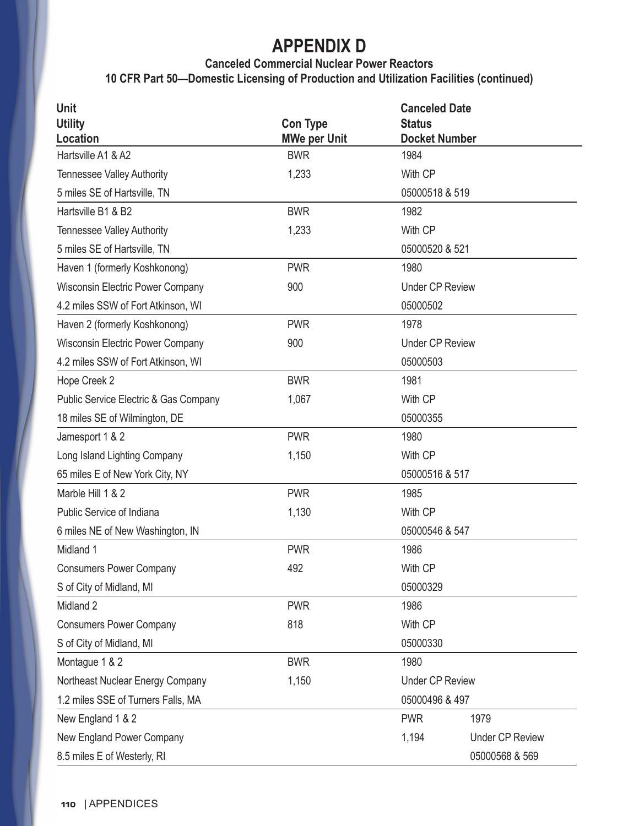#### **Canceled Commercial Nuclear Power Reactors**

**10 CFR Part 50—Domestic Licensing of Production and Utilization Facilities (continued)**

| <b>Unit</b>                             |                     | <b>Canceled Date</b>   |                        |
|-----------------------------------------|---------------------|------------------------|------------------------|
| <b>Utility</b>                          | <b>Con Type</b>     | <b>Status</b>          |                        |
| <b>Location</b>                         | <b>MWe per Unit</b> | <b>Docket Number</b>   |                        |
| Hartsville A1 & A2                      | <b>BWR</b>          | 1984                   |                        |
| <b>Tennessee Valley Authority</b>       | 1,233               | With CP                |                        |
| 5 miles SE of Hartsville, TN            |                     | 05000518 & 519         |                        |
| Hartsville B1 & B2                      | <b>BWR</b>          | 1982                   |                        |
| <b>Tennessee Valley Authority</b>       | 1,233               | With CP                |                        |
| 5 miles SE of Hartsville, TN            |                     | 05000520 & 521         |                        |
| Haven 1 (formerly Koshkonong)           | <b>PWR</b>          | 1980                   |                        |
| Wisconsin Electric Power Company        | 900                 | <b>Under CP Review</b> |                        |
| 4.2 miles SSW of Fort Atkinson, WI      |                     | 05000502               |                        |
| Haven 2 (formerly Koshkonong)           | <b>PWR</b>          | 1978                   |                        |
| <b>Wisconsin Electric Power Company</b> | 900                 | <b>Under CP Review</b> |                        |
| 4.2 miles SSW of Fort Atkinson, WI      |                     | 05000503               |                        |
| Hope Creek 2                            | <b>BWR</b>          | 1981                   |                        |
| Public Service Electric & Gas Company   | 1,067               | With CP                |                        |
| 18 miles SE of Wilmington, DE           |                     | 05000355               |                        |
| Jamesport 1 & 2                         | <b>PWR</b>          | 1980                   |                        |
| Long Island Lighting Company            | 1,150               | With CP                |                        |
| 65 miles E of New York City, NY         |                     | 05000516 & 517         |                        |
| Marble Hill 1 & 2                       | <b>PWR</b>          | 1985                   |                        |
| Public Service of Indiana               | 1,130               | With CP                |                        |
| 6 miles NE of New Washington, IN        |                     | 05000546 & 547         |                        |
| Midland 1                               | <b>PWR</b>          | 1986                   |                        |
| <b>Consumers Power Company</b>          | 492                 | With CP                |                        |
| S of City of Midland, MI                |                     | 05000329               |                        |
| Midland 2                               | <b>PWR</b>          | 1986                   |                        |
| <b>Consumers Power Company</b>          | 818                 | With CP                |                        |
| S of City of Midland, MI                |                     | 05000330               |                        |
| Montague 1 & 2                          | <b>BWR</b>          | 1980                   |                        |
| Northeast Nuclear Energy Company        | 1,150               | <b>Under CP Review</b> |                        |
| 1.2 miles SSE of Turners Falls, MA      |                     | 05000496 & 497         |                        |
| New England 1 & 2                       |                     | <b>PWR</b>             | 1979                   |
| New England Power Company               |                     | 1,194                  | <b>Under CP Review</b> |
| 8.5 miles E of Westerly, RI             |                     |                        | 05000568 & 569         |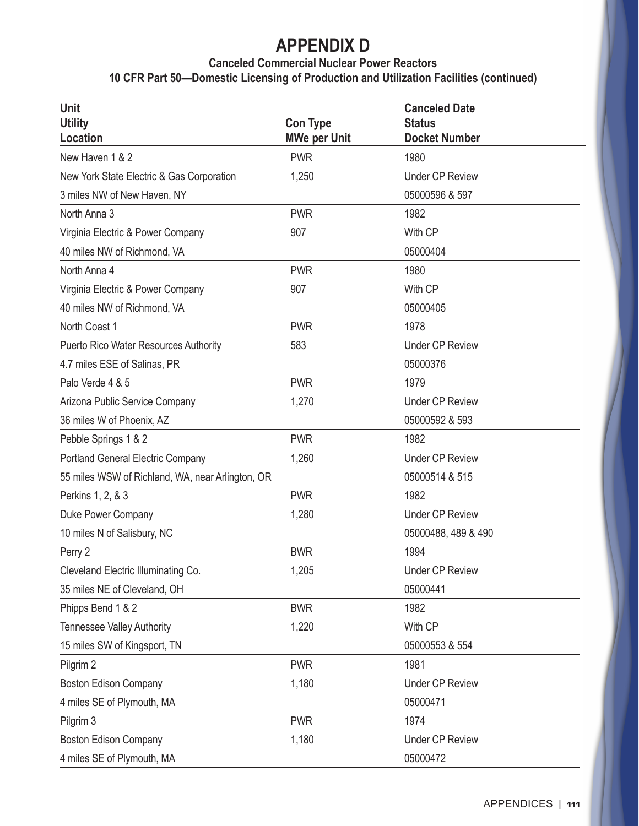#### **Canceled Commercial Nuclear Power Reactors 10 CFR Part 50—Domestic Licensing of Production and Utilization Facilities (continued)**

| Unit<br><b>Utility</b>                           | <b>Con Type</b>     | <b>Canceled Date</b><br><b>Status</b> |
|--------------------------------------------------|---------------------|---------------------------------------|
| Location                                         | <b>MWe per Unit</b> | <b>Docket Number</b>                  |
| New Haven 1 & 2                                  | <b>PWR</b>          | 1980                                  |
| New York State Electric & Gas Corporation        | 1,250               | <b>Under CP Review</b>                |
| 3 miles NW of New Haven, NY                      |                     | 05000596 & 597                        |
| North Anna 3                                     | <b>PWR</b>          | 1982                                  |
| Virginia Electric & Power Company                | 907                 | With CP                               |
| 40 miles NW of Richmond, VA                      |                     | 05000404                              |
| North Anna 4                                     | <b>PWR</b>          | 1980                                  |
| Virginia Electric & Power Company                | 907                 | With CP                               |
| 40 miles NW of Richmond, VA                      |                     | 05000405                              |
| North Coast 1                                    | <b>PWR</b>          | 1978                                  |
| <b>Puerto Rico Water Resources Authority</b>     | 583                 | <b>Under CP Review</b>                |
| 4.7 miles ESE of Salinas, PR                     |                     | 05000376                              |
| Palo Verde 4 & 5                                 | <b>PWR</b>          | 1979                                  |
| Arizona Public Service Company                   | 1,270               | <b>Under CP Review</b>                |
| 36 miles W of Phoenix, AZ                        |                     | 05000592 & 593                        |
| Pebble Springs 1 & 2                             | <b>PWR</b>          | 1982                                  |
| Portland General Electric Company                | 1,260               | <b>Under CP Review</b>                |
| 55 miles WSW of Richland, WA, near Arlington, OR |                     | 05000514 & 515                        |
| Perkins 1, 2, & 3                                | <b>PWR</b>          | 1982                                  |
| Duke Power Company                               | 1,280               | <b>Under CP Review</b>                |
| 10 miles N of Salisbury, NC                      |                     | 05000488, 489 & 490                   |
| Perry 2                                          | <b>BWR</b>          | 1994                                  |
| Cleveland Electric Illuminating Co.              | 1,205               | <b>Under CP Review</b>                |
| 35 miles NE of Cleveland, OH                     |                     | 05000441                              |
| Phipps Bend 1 & 2                                | <b>BWR</b>          | 1982                                  |
| <b>Tennessee Valley Authority</b>                | 1,220               | With CP                               |
| 15 miles SW of Kingsport, TN                     |                     | 05000553 & 554                        |
| Pilgrim 2                                        | <b>PWR</b>          | 1981                                  |
| <b>Boston Edison Company</b>                     | 1,180               | <b>Under CP Review</b>                |
| 4 miles SE of Plymouth, MA                       |                     | 05000471                              |
| Pilgrim 3                                        | <b>PWR</b>          | 1974                                  |
| <b>Boston Edison Company</b>                     | 1,180               | <b>Under CP Review</b>                |
| 4 miles SE of Plymouth, MA                       |                     | 05000472                              |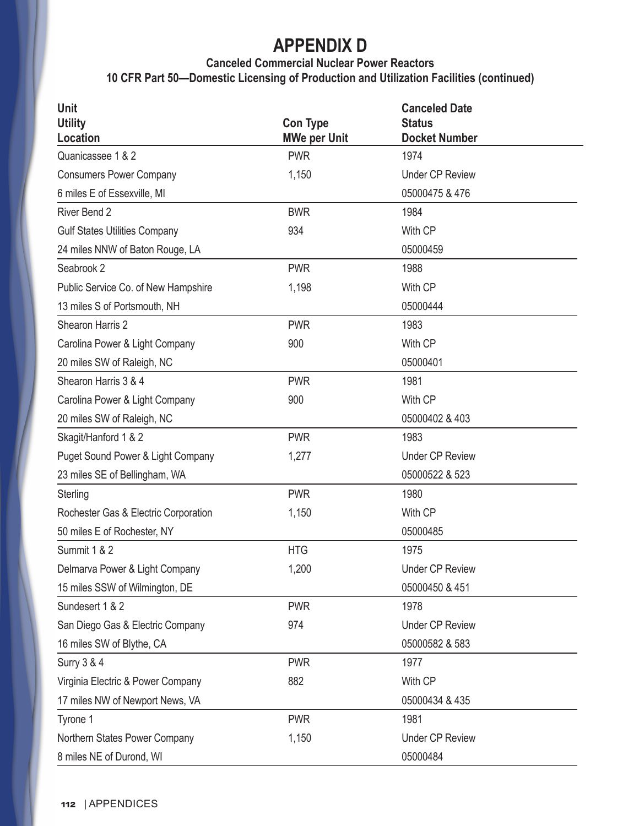#### **Canceled Commercial Nuclear Power Reactors 10 CFR Part 50—Domestic Licensing of Production and Utilization Facilities (continued)**

| Unit                                 |                                        | <b>Canceled Date</b>                  |  |
|--------------------------------------|----------------------------------------|---------------------------------------|--|
| <b>Utility</b><br>Location           | <b>Con Type</b><br><b>MWe per Unit</b> | <b>Status</b><br><b>Docket Number</b> |  |
| Quanicassee 1 & 2                    | <b>PWR</b>                             | 1974                                  |  |
| <b>Consumers Power Company</b>       | 1,150                                  | <b>Under CP Review</b>                |  |
| 6 miles E of Essexville, MI          |                                        | 05000475 & 476                        |  |
| River Bend 2                         | <b>BWR</b>                             | 1984                                  |  |
| <b>Gulf States Utilities Company</b> | 934                                    | With CP                               |  |
| 24 miles NNW of Baton Rouge, LA      |                                        | 05000459                              |  |
| Seabrook 2                           | <b>PWR</b>                             | 1988                                  |  |
| Public Service Co. of New Hampshire  | 1,198                                  | With CP                               |  |
| 13 miles S of Portsmouth, NH         |                                        | 05000444                              |  |
| Shearon Harris 2                     | <b>PWR</b>                             | 1983                                  |  |
| Carolina Power & Light Company       | 900                                    | With CP                               |  |
| 20 miles SW of Raleigh, NC           |                                        | 05000401                              |  |
| Shearon Harris 3 & 4                 | <b>PWR</b>                             | 1981                                  |  |
| Carolina Power & Light Company       | 900                                    | With CP                               |  |
| 20 miles SW of Raleigh, NC           |                                        | 05000402 & 403                        |  |
| Skagit/Hanford 1 & 2                 | <b>PWR</b>                             | 1983                                  |  |
| Puget Sound Power & Light Company    | 1,277                                  | <b>Under CP Review</b>                |  |
| 23 miles SE of Bellingham, WA        |                                        | 05000522 & 523                        |  |
| Sterling                             | <b>PWR</b>                             | 1980                                  |  |
| Rochester Gas & Electric Corporation | 1,150                                  | With CP                               |  |
| 50 miles E of Rochester, NY          |                                        | 05000485                              |  |
| Summit 1 & 2                         | <b>HTG</b>                             | 1975                                  |  |
| Delmarva Power & Light Company       | 1,200                                  | <b>Under CP Review</b>                |  |
| 15 miles SSW of Wilmington, DE       |                                        | 05000450 & 451                        |  |
| Sundesert 1 & 2                      | <b>PWR</b>                             | 1978                                  |  |
| San Diego Gas & Electric Company     | 974                                    | <b>Under CP Review</b>                |  |
| 16 miles SW of Blythe, CA            |                                        | 05000582 & 583                        |  |
| <b>Surry 3 &amp; 4</b>               | <b>PWR</b>                             | 1977                                  |  |
| Virginia Electric & Power Company    | 882                                    | With CP                               |  |
| 17 miles NW of Newport News, VA      |                                        | 05000434 & 435                        |  |
| Tyrone 1                             | <b>PWR</b>                             | 1981                                  |  |
| Northern States Power Company        | 1,150                                  | <b>Under CP Review</b>                |  |
| 8 miles NE of Durond, WI             |                                        | 05000484                              |  |